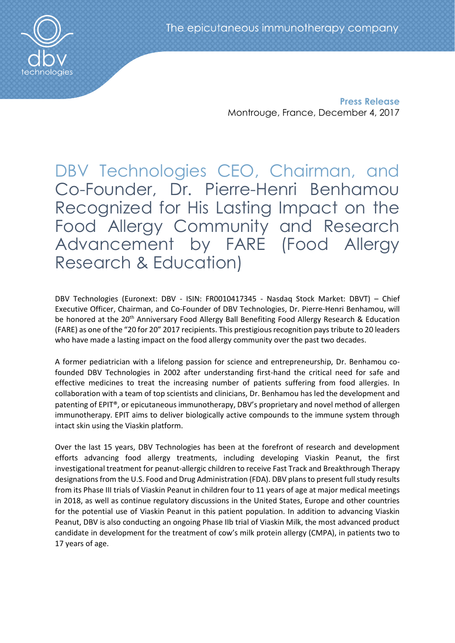

**Press Release** Montrouge, France, December 4, 2017

DBV Technologies CEO, Chairman, and Co-Founder, Dr. Pierre-Henri Benhamou Recognized for His Lasting Impact on the Food Allergy Community and Research Advancement by FARE (Food Allergy Research & Education)

DBV Technologies (Euronext: DBV - ISIN: FR0010417345 - Nasdaq Stock Market: DBVT) – Chief Executive Officer, Chairman, and Co-Founder of DBV Technologies, Dr. Pierre-Henri Benhamou, will be honored at the 20<sup>th</sup> Anniversary Food Allergy Ball Benefiting Food Allergy Research & Education (FARE) as one of the "20 for 20" 2017 recipients. This prestigious recognition pays tribute to 20 leaders who have made a lasting impact on the food allergy community over the past two decades.

A former pediatrician with a lifelong passion for science and entrepreneurship, Dr. Benhamou cofounded DBV Technologies in 2002 after understanding first-hand the critical need for safe and effective medicines to treat the increasing number of patients suffering from food allergies. In collaboration with a team of top scientists and clinicians, Dr. Benhamou has led the development and patenting of EPIT®, or epicutaneous immunotherapy, DBV's proprietary and novel method of allergen immunotherapy. EPIT aims to deliver biologically active compounds to the immune system through intact skin using the Viaskin platform.

Over the last 15 years, DBV Technologies has been at the forefront of research and development efforts advancing food allergy treatments, including developing Viaskin Peanut, the first investigational treatment for peanut-allergic children to receive Fast Track and Breakthrough Therapy designations from the U.S. Food and Drug Administration (FDA). DBV plans to present full study results from its Phase III trials of Viaskin Peanut in children four to 11 years of age at major medical meetings in 2018, as well as continue regulatory discussions in the United States, Europe and other countries for the potential use of Viaskin Peanut in this patient population. In addition to advancing Viaskin Peanut, DBV is also conducting an ongoing Phase IIb trial of Viaskin Milk, the most advanced product candidate in development for the treatment of cow's milk protein allergy (CMPA), in patients two to 17 years of age.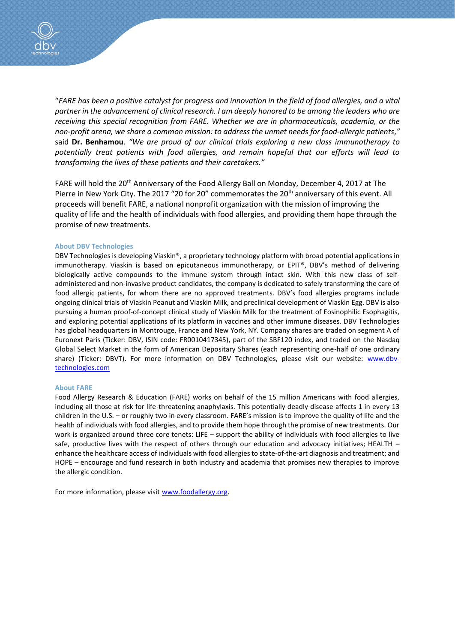

"*FARE has been a positive catalyst for progress and innovation in the field of food allergies, and a vital partner in the advancement of clinical research. I am deeply honored to be among the leaders who are receiving this special recognition from FARE. Whether we are in pharmaceuticals, academia, or the non-profit arena, we share a common mission: to address the unmet needs for food-allergic patients*,*"*  said **Dr. Benhamou**. *"We are proud of our clinical trials exploring a new class immunotherapy to potentially treat patients with food allergies, and remain hopeful that our efforts will lead to transforming the lives of these patients and their caretakers."*

FARE will hold the 20<sup>th</sup> Anniversary of the Food Allergy Ball on Monday, December 4, 2017 at The Pierre in New York City. The 2017 "20 for 20" commemorates the 20<sup>th</sup> anniversary of this event. All proceeds will benefit FARE, a national nonprofit organization with the mission of improving the quality of life and the health of individuals with food allergies, and providing them hope through the promise of new treatments.

## **About DBV Technologies**

DBV Technologies is developing Viaskin®, a proprietary technology platform with broad potential applications in immunotherapy. Viaskin is based on epicutaneous immunotherapy, or EPIT®, DBV's method of delivering biologically active compounds to the immune system through intact skin. With this new class of selfadministered and non-invasive product candidates, the company is dedicated to safely transforming the care of food allergic patients, for whom there are no approved treatments. DBV's food allergies programs include ongoing clinical trials of Viaskin Peanut and Viaskin Milk, and preclinical development of Viaskin Egg. DBV is also pursuing a human proof-of-concept clinical study of Viaskin Milk for the treatment of Eosinophilic Esophagitis, and exploring potential applications of its platform in vaccines and other immune diseases. DBV Technologies has global headquarters in Montrouge, France and New York, NY. Company shares are traded on segment A of Euronext Paris (Ticker: DBV, ISIN code: FR0010417345), part of the SBF120 index, and traded on the Nasdaq Global Select Market in the form of American Depositary Shares (each representing one-half of one ordinary share) (Ticker: DBVT). For more information on DBV Technologies, please visit our website: [www.dbv](http://www.dbv-technologies.com/)[technologies.com](http://www.dbv-technologies.com/)

## **About FARE**

Food Allergy Research & Education (FARE) works on behalf of the 15 million Americans with food allergies, including all those at risk for life-threatening anaphylaxis. This potentially deadly disease affects 1 in every 13 children in the U.S. – or roughly two in every classroom. FARE's mission is to improve the quality of life and the health of individuals with food allergies, and to provide them hope through the promise of new treatments. Our work is organized around three core tenets: LIFE – support the ability of individuals with food allergies to live safe, productive lives with the respect of others through our education and advocacy initiatives; HEALTH – enhance the healthcare access of individuals with food allergies to state-of-the-art diagnosis and treatment; and HOPE – encourage and fund research in both industry and academia that promises new therapies to improve the allergic condition.

For more information, please visit [www.foodallergy.org.](http://www.foodallergy.org/)